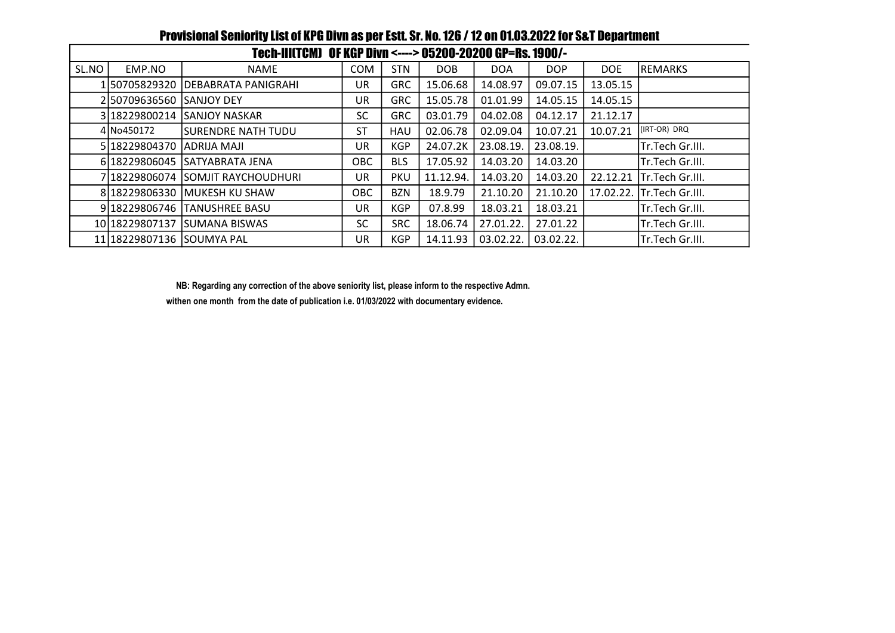| Tech-III(TCM) OF KGP Divn <----> 05200-20200 GP=Rs. 1900/- |                           |                                    |            |            |           |            |            |            |                        |  |  |
|------------------------------------------------------------|---------------------------|------------------------------------|------------|------------|-----------|------------|------------|------------|------------------------|--|--|
| SL.NO                                                      | EMP.NO                    | <b>NAME</b>                        | <b>COM</b> | <b>STN</b> | DOB       | <b>DOA</b> | <b>DOP</b> | <b>DOE</b> | REMARKS                |  |  |
|                                                            |                           | 1 50705829320  DEBABRATA PANIGRAHI | UR.        | <b>GRC</b> | 15.06.68  | 14.08.97   | 09.07.15   | 13.05.15   |                        |  |  |
|                                                            | 2150709636560 SANJOY DEY  |                                    | UR.        | <b>GRC</b> | 15.05.78  | 01.01.99   | 14.05.15   | 14.05.15   |                        |  |  |
|                                                            |                           | 3 18229800214 SANJOY NASKAR        | SC         | <b>GRC</b> | 03.01.79  | 04.02.08   | 04.12.17   | 21.12.17   |                        |  |  |
|                                                            | 4 No450172                | <b>ISURENDRE NATH TUDU</b>         | ST         | HAU        | 02.06.78  | 02.09.04   | 10.07.21   | 10.07.21   | (IRT-OR) DRQ           |  |  |
|                                                            | 5 18229804370 ADRIJA MAJI |                                    | UR.        | <b>KGP</b> | 24.07.2K  | 23.08.19.  | 23.08.19.  |            | Tr.Tech Gr.III.        |  |  |
|                                                            |                           | 6 18229806045 SATYABRATA JENA      | <b>OBC</b> | <b>BLS</b> | 17.05.92  | 14.03.20   | 14.03.20   |            | Tr.Tech Gr.III.        |  |  |
|                                                            |                           | 7 18229806074 SOMJIT RAYCHOUDHURI  | UR.        | <b>PKU</b> | 11.12.94. | 14.03.20   | 14.03.20   | 22.12.21   | Tr.Tech Gr.III.        |  |  |
|                                                            |                           | 8 18229806330 MUKESH KU SHAW       | OBC        | <b>BZN</b> | 18.9.79   | 21.10.20   | 21.10.20   | 17.02.22.  | <b>Tr.Tech Gr.III.</b> |  |  |
|                                                            |                           | 9 18229806746 TANUSHREE BASU       | UR         | <b>KGP</b> | 07.8.99   | 18.03.21   | 18.03.21   |            | Tr.Tech Gr.III.        |  |  |
|                                                            |                           | 10 18229807137 SUMANA BISWAS       | <b>SC</b>  | <b>SRC</b> | 18.06.74  | 27.01.22.  | 27.01.22   |            | Tr.Tech Gr.III.        |  |  |
|                                                            | 11 18229807136 SOUMYA PAL |                                    | UR         | <b>KGP</b> | 14.11.93  | 03.02.22.  | 03.02.22.  |            | Tr.Tech Gr.III.        |  |  |

## Provisional Seniority List of KPG Divn as per Estt. Sr. No. 126 / 12 on 01.03.2022 for S&T Department

NB: Regarding any correction of the above seniority list, please inform to the respective Admn.

withen one month from the date of publication i.e. 01/03/2022 with documentary evidence.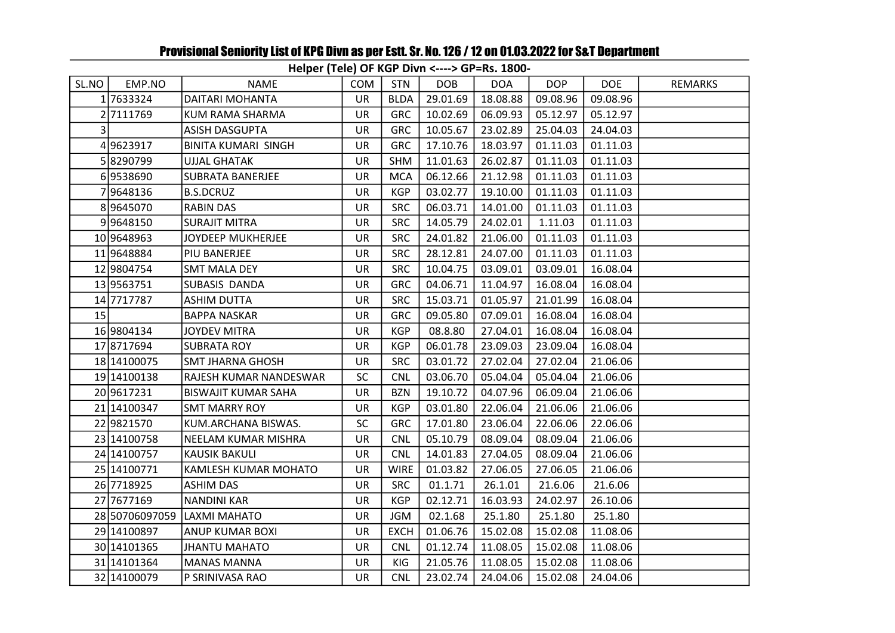## Helper (Tele) OF KGP Divn <----> GP=Rs. 1800-

| SL.NO | EMP.NO         | NAME                       | <b>COM</b> | <b>STN</b>  | <b>DOB</b> | <b>DOA</b> | <b>DOP</b> | <b>DOE</b> | <b>REMARKS</b> |
|-------|----------------|----------------------------|------------|-------------|------------|------------|------------|------------|----------------|
|       | 17633324       | DAITARI MOHANTA            | <b>UR</b>  | <b>BLDA</b> | 29.01.69   | 18.08.88   | 09.08.96   | 09.08.96   |                |
|       | 2 7111769      | KUM RAMA SHARMA            | UR         | <b>GRC</b>  | 10.02.69   | 06.09.93   | 05.12.97   | 05.12.97   |                |
| 3     |                | ASISH DASGUPTA             | UR         | <b>GRC</b>  | 10.05.67   | 23.02.89   | 25.04.03   | 24.04.03   |                |
|       | 49623917       | <b>BINITA KUMARI SINGH</b> | UR         | <b>GRC</b>  | 17.10.76   | 18.03.97   | 01.11.03   | 01.11.03   |                |
|       | 58290799       | <b>UJJAL GHATAK</b>        | UR         | <b>SHM</b>  | 11.01.63   | 26.02.87   | 01.11.03   | 01.11.03   |                |
|       | 69538690       | <b>SUBRATA BANERJEE</b>    | UR         | <b>MCA</b>  | 06.12.66   | 21.12.98   | 01.11.03   | 01.11.03   |                |
|       | 79648136       | <b>B.S.DCRUZ</b>           | UR         | <b>KGP</b>  | 03.02.77   | 19.10.00   | 01.11.03   | 01.11.03   |                |
|       | 89645070       | <b>RABIN DAS</b>           | UR         | <b>SRC</b>  | 06.03.71   | 14.01.00   | 01.11.03   | 01.11.03   |                |
|       | 99648150       | <b>SURAJIT MITRA</b>       | <b>UR</b>  | <b>SRC</b>  | 14.05.79   | 24.02.01   | 1.11.03    | 01.11.03   |                |
|       | 10 9648963     | JOYDEEP MUKHERJEE          | UR         | <b>SRC</b>  | 24.01.82   | 21.06.00   | 01.11.03   | 01.11.03   |                |
|       | 11 9648884     | PIU BANERJEE               | UR         | <b>SRC</b>  | 28.12.81   | 24.07.00   | 01.11.03   | 01.11.03   |                |
|       | 12 9804754     | <b>SMT MALA DEY</b>        | UR         | <b>SRC</b>  | 10.04.75   | 03.09.01   | 03.09.01   | 16.08.04   |                |
|       | 13 9563751     | SUBASIS DANDA              | UR         | <b>GRC</b>  | 04.06.71   | 11.04.97   | 16.08.04   | 16.08.04   |                |
|       | 14 7717787     | <b>ASHIM DUTTA</b>         | UR         | <b>SRC</b>  | 15.03.71   | 01.05.97   | 21.01.99   | 16.08.04   |                |
| 15    |                | <b>BAPPA NASKAR</b>        | UR         | <b>GRC</b>  | 09.05.80   | 07.09.01   | 16.08.04   | 16.08.04   |                |
|       | 16 9804134     | <b>JOYDEV MITRA</b>        | <b>UR</b>  | <b>KGP</b>  | 08.8.80    | 27.04.01   | 16.08.04   | 16.08.04   |                |
|       | 17 8717694     | <b>SUBRATA ROY</b>         | <b>UR</b>  | <b>KGP</b>  | 06.01.78   | 23.09.03   | 23.09.04   | 16.08.04   |                |
|       | 18 14100075    | <b>SMT JHARNA GHOSH</b>    | UR         | <b>SRC</b>  | 03.01.72   | 27.02.04   | 27.02.04   | 21.06.06   |                |
|       | 19 14100138    | RAJESH KUMAR NANDESWAR     | <b>SC</b>  | <b>CNL</b>  | 03.06.70   | 05.04.04   | 05.04.04   | 21.06.06   |                |
|       | 20 9617231     | <b>BISWAJIT KUMAR SAHA</b> | UR         | <b>BZN</b>  | 19.10.72   | 04.07.96   | 06.09.04   | 21.06.06   |                |
|       | 21 14100347    | <b>SMT MARRY ROY</b>       | <b>UR</b>  | <b>KGP</b>  | 03.01.80   | 22.06.04   | 21.06.06   | 21.06.06   |                |
|       | 22 9821570     | KUM.ARCHANA BISWAS.        | SC         | <b>GRC</b>  | 17.01.80   | 23.06.04   | 22.06.06   | 22.06.06   |                |
|       | 23 14100758    | NEELAM KUMAR MISHRA        | UR         | <b>CNL</b>  | 05.10.79   | 08.09.04   | 08.09.04   | 21.06.06   |                |
|       | 24 14100757    | <b>KAUSIK BAKULI</b>       | <b>UR</b>  | <b>CNL</b>  | 14.01.83   | 27.04.05   | 08.09.04   | 21.06.06   |                |
|       | 25 14100771    | KAMLESH KUMAR MOHATO       | UR         | <b>WIRE</b> | 01.03.82   | 27.06.05   | 27.06.05   | 21.06.06   |                |
|       | 26 7718925     | <b>ASHIM DAS</b>           | <b>UR</b>  | <b>SRC</b>  | 01.1.71    | 26.1.01    | 21.6.06    | 21.6.06    |                |
|       | 27 7677169     | <b>NANDINI KAR</b>         | UR         | <b>KGP</b>  | 02.12.71   | 16.03.93   | 24.02.97   | 26.10.06   |                |
|       | 28 50706097059 | LAXMI MAHATO               | <b>UR</b>  | <b>JGM</b>  | 02.1.68    | 25.1.80    | 25.1.80    | 25.1.80    |                |
|       | 29 14100897    | <b>ANUP KUMAR BOXI</b>     | UR         | <b>EXCH</b> | 01.06.76   | 15.02.08   | 15.02.08   | 11.08.06   |                |
|       | 30 1410 1365   | <b>JHANTU MAHATO</b>       | UR         | <b>CNL</b>  | 01.12.74   | 11.08.05   | 15.02.08   | 11.08.06   |                |
|       | 31 14101364    | <b>MANAS MANNA</b>         | <b>UR</b>  | KIG         | 21.05.76   | 11.08.05   | 15.02.08   | 11.08.06   |                |
|       | 32 14100079    | P SRINIVASA RAO            | UR         | <b>CNL</b>  | 23.02.74   | 24.04.06   | 15.02.08   | 24.04.06   |                |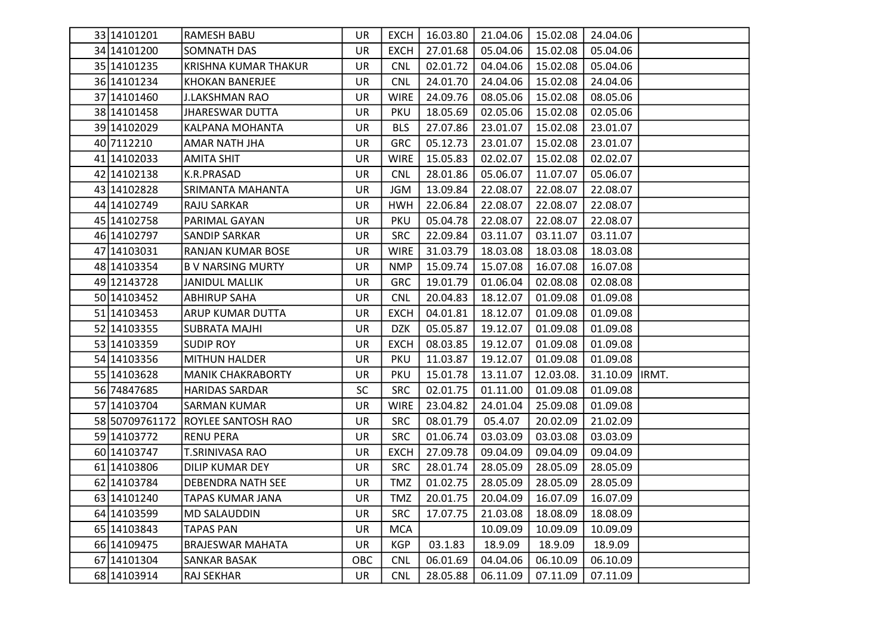| 33 14101201    | <b>RAMESH BABU</b>          | UR.       | <b>EXCH</b> | 16.03.80 |          | 21.04.06   15.02.08 | 24.04.06        |  |
|----------------|-----------------------------|-----------|-------------|----------|----------|---------------------|-----------------|--|
| 34 14101200    | <b>SOMNATH DAS</b>          | <b>UR</b> | <b>EXCH</b> | 27.01.68 | 05.04.06 | 15.02.08            | 05.04.06        |  |
| 35 14101235    | <b>KRISHNA KUMAR THAKUR</b> | UR        | <b>CNL</b>  | 02.01.72 | 04.04.06 | 15.02.08            | 05.04.06        |  |
| 36 14101234    | <b>KHOKAN BANERJEE</b>      | UR        | <b>CNL</b>  | 24.01.70 | 24.04.06 | 15.02.08            | 24.04.06        |  |
| 37 14101460    | <b>J.LAKSHMAN RAO</b>       | UR        | <b>WIRE</b> | 24.09.76 | 08.05.06 | 15.02.08            | 08.05.06        |  |
| 38 14101458    | <b>JHARESWAR DUTTA</b>      | UR        | <b>PKU</b>  | 18.05.69 | 02.05.06 | 15.02.08            | 02.05.06        |  |
| 39 14102029    | KALPANA MOHANTA             | <b>UR</b> | <b>BLS</b>  | 27.07.86 | 23.01.07 | 15.02.08            | 23.01.07        |  |
| 40 7112210     | AMAR NATH JHA               | UR        | <b>GRC</b>  | 05.12.73 | 23.01.07 | 15.02.08            | 23.01.07        |  |
| 41 14102033    | <b>AMITA SHIT</b>           | <b>UR</b> | <b>WIRE</b> | 15.05.83 | 02.02.07 | 15.02.08            | 02.02.07        |  |
| 42 14102138    | K.R.PRASAD                  | UR.       | <b>CNL</b>  | 28.01.86 | 05.06.07 | 11.07.07            | 05.06.07        |  |
| 43 14102828    | SRIMANTA MAHANTA            | <b>UR</b> | <b>JGM</b>  | 13.09.84 | 22.08.07 | 22.08.07            | 22.08.07        |  |
| 44 14102749    | RAJU SARKAR                 | UR        | <b>HWH</b>  | 22.06.84 | 22.08.07 | 22.08.07            | 22.08.07        |  |
| 45 14102758    | PARIMAL GAYAN               | <b>UR</b> | <b>PKU</b>  | 05.04.78 | 22.08.07 | 22.08.07            | 22.08.07        |  |
| 46 14102797    | <b>SANDIP SARKAR</b>        | UR        | <b>SRC</b>  | 22.09.84 | 03.11.07 | 03.11.07            | 03.11.07        |  |
| 47 14103031    | RANJAN KUMAR BOSE           | UR        | <b>WIRE</b> | 31.03.79 | 18.03.08 | 18.03.08            | 18.03.08        |  |
| 48 14103354    | <b>BV NARSING MURTY</b>     | UR        | <b>NMP</b>  | 15.09.74 | 15.07.08 | 16.07.08            | 16.07.08        |  |
| 49 12143728    | <b>JANIDUL MALLIK</b>       | UR        | <b>GRC</b>  | 19.01.79 | 01.06.04 | 02.08.08            | 02.08.08        |  |
| 50 1410 3452   | <b>ABHIRUP SAHA</b>         | UR        | <b>CNL</b>  | 20.04.83 | 18.12.07 | 01.09.08            | 01.09.08        |  |
| 51 1410 3453   | <b>ARUP KUMAR DUTTA</b>     | UR        | <b>EXCH</b> | 04.01.81 | 18.12.07 | 01.09.08            | 01.09.08        |  |
| 52 14103355    | <b>SUBRATA MAJHI</b>        | <b>UR</b> | <b>DZK</b>  | 05.05.87 | 19.12.07 | 01.09.08            | 01.09.08        |  |
| 53 14103359    | <b>SUDIP ROY</b>            | <b>UR</b> | <b>EXCH</b> | 08.03.85 | 19.12.07 | 01.09.08            | 01.09.08        |  |
| 54 14103356    | <b>MITHUN HALDER</b>        | <b>UR</b> | <b>PKU</b>  | 11.03.87 | 19.12.07 | 01.09.08            | 01.09.08        |  |
| 55 14103628    | <b>MANIK CHAKRABORTY</b>    | UR        | PKU         | 15.01.78 | 13.11.07 | 12.03.08.           | 31.10.09  IRMT. |  |
| 56 74847685    | <b>HARIDAS SARDAR</b>       | <b>SC</b> | <b>SRC</b>  | 02.01.75 | 01.11.00 | 01.09.08            | 01.09.08        |  |
| 57 14103704    | <b>SARMAN KUMAR</b>         | <b>UR</b> | <b>WIRE</b> | 23.04.82 | 24.01.04 | 25.09.08            | 01.09.08        |  |
| 58 50709761172 | <b>ROYLEE SANTOSH RAO</b>   | <b>UR</b> | <b>SRC</b>  | 08.01.79 | 05.4.07  | 20.02.09            | 21.02.09        |  |
| 59 14103772    | <b>RENU PERA</b>            | UR        | <b>SRC</b>  | 01.06.74 | 03.03.09 | 03.03.08            | 03.03.09        |  |
| 60 1410 3747   | T.SRINIVASA RAO             | UR        | <b>EXCH</b> | 27.09.78 | 09.04.09 | 09.04.09            | 09.04.09        |  |
| 61 14103806    | DILIP KUMAR DEY             | UR        | <b>SRC</b>  | 28.01.74 | 28.05.09 | 28.05.09            | 28.05.09        |  |
| 62 14103784    | <b>DEBENDRA NATH SEE</b>    | <b>UR</b> | TMZ         | 01.02.75 | 28.05.09 | 28.05.09            | 28.05.09        |  |
| 63 14101240    | <b>TAPAS KUMAR JANA</b>     | UR        | <b>TMZ</b>  | 20.01.75 | 20.04.09 | 16.07.09            | 16.07.09        |  |
| 64 14103599    | <b>MD SALAUDDIN</b>         | <b>UR</b> | <b>SRC</b>  | 17.07.75 | 21.03.08 | 18.08.09            | 18.08.09        |  |
| 65 14103843    | <b>TAPAS PAN</b>            | UR        | <b>MCA</b>  |          | 10.09.09 | 10.09.09            | 10.09.09        |  |
| 66 1410 9475   | <b>BRAJESWAR MAHATA</b>     | <b>UR</b> | <b>KGP</b>  | 03.1.83  | 18.9.09  | 18.9.09             | 18.9.09         |  |
| 67 14101304    | <b>SANKAR BASAK</b>         | OBC       | <b>CNL</b>  | 06.01.69 | 04.04.06 | 06.10.09            | 06.10.09        |  |
| 68 14103914    | <b>RAJ SEKHAR</b>           | UR        | <b>CNL</b>  | 28.05.88 | 06.11.09 | 07.11.09            | 07.11.09        |  |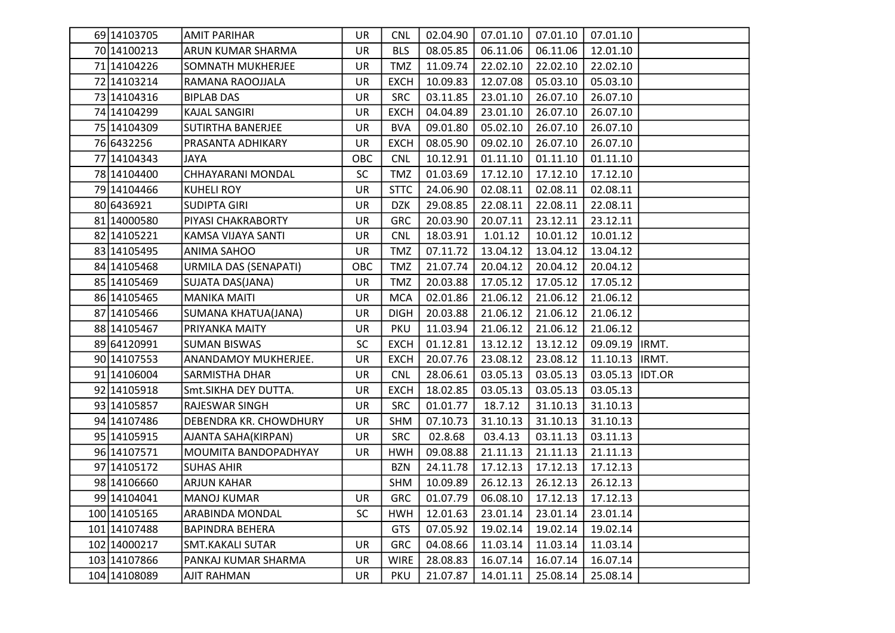| 69 14103705   | <b>AMIT PARIHAR</b>      | UR        | <b>CNL</b>  | 02.04.90 | 07.01.10 | 07.01.10 | 07.01.10         |  |
|---------------|--------------------------|-----------|-------------|----------|----------|----------|------------------|--|
| 70 1410 0213  | ARUN KUMAR SHARMA        | UR        | <b>BLS</b>  | 08.05.85 | 06.11.06 | 06.11.06 | 12.01.10         |  |
| 71 14104226   | SOMNATH MUKHERJEE        | UR        | <b>TMZ</b>  | 11.09.74 | 22.02.10 | 22.02.10 | 22.02.10         |  |
| 72 14103214   | RAMANA RAOOJJALA         | UR        | <b>EXCH</b> | 10.09.83 | 12.07.08 | 05.03.10 | 05.03.10         |  |
| 73 14104316   | <b>BIPLAB DAS</b>        | UR        | <b>SRC</b>  | 03.11.85 | 23.01.10 | 26.07.10 | 26.07.10         |  |
| 74 14104299   | <b>KAJAL SANGIRI</b>     | UR        | <b>EXCH</b> | 04.04.89 | 23.01.10 | 26.07.10 | 26.07.10         |  |
| 75 14104309   | <b>SUTIRTHA BANERJEE</b> | UR        | <b>BVA</b>  | 09.01.80 | 05.02.10 | 26.07.10 | 26.07.10         |  |
| 76 6432256    | PRASANTA ADHIKARY        | UR        | <b>EXCH</b> | 08.05.90 | 09.02.10 | 26.07.10 | 26.07.10         |  |
| 77 14104343   | JAYA                     | OBC       | <b>CNL</b>  | 10.12.91 | 01.11.10 | 01.11.10 | 01.11.10         |  |
| 78 14104400   | CHHAYARANI MONDAL        | <b>SC</b> | TMZ         | 01.03.69 | 17.12.10 | 17.12.10 | 17.12.10         |  |
| 79 14104466   | <b>KUHELI ROY</b>        | UR        | <b>STTC</b> | 24.06.90 | 02.08.11 | 02.08.11 | 02.08.11         |  |
| 80 6436921    | <b>SUDIPTA GIRI</b>      | UR        | <b>DZK</b>  | 29.08.85 | 22.08.11 | 22.08.11 | 22.08.11         |  |
| 81 14000580   | PIYASI CHAKRABORTY       | UR        | <b>GRC</b>  | 20.03.90 | 20.07.11 | 23.12.11 | 23.12.11         |  |
| 82 1410 5221  | KAMSA VIJAYA SANTI       | UR        | <b>CNL</b>  | 18.03.91 | 1.01.12  | 10.01.12 | 10.01.12         |  |
| 83 1410 5495  | ANIMA SAHOO              | UR        | <b>TMZ</b>  | 07.11.72 | 13.04.12 | 13.04.12 | 13.04.12         |  |
| 84 1410 5468  | URMILA DAS (SENAPATI)    | OBC       | <b>TMZ</b>  | 21.07.74 | 20.04.12 | 20.04.12 | 20.04.12         |  |
| 85 1410 5469  | SUJATA DAS(JANA)         | UR        | <b>TMZ</b>  | 20.03.88 | 17.05.12 | 17.05.12 | 17.05.12         |  |
| 86 1410 5465  | <b>MANIKA MAITI</b>      | UR        | <b>MCA</b>  | 02.01.86 | 21.06.12 | 21.06.12 | 21.06.12         |  |
| 87 1410 5466  | SUMANA KHATUA(JANA)      | UR        | <b>DIGH</b> | 20.03.88 | 21.06.12 | 21.06.12 | 21.06.12         |  |
| 88 14105467   | PRIYANKA MAITY           | UR        | <b>PKU</b>  | 11.03.94 | 21.06.12 | 21.06.12 | 21.06.12         |  |
| 89 64120991   | <b>SUMAN BISWAS</b>      | SC        | <b>EXCH</b> | 01.12.81 | 13.12.12 | 13.12.12 | 09.09.19  IRMT.  |  |
| 90 1410 7553  | ANANDAMOY MUKHERJEE.     | UR        | <b>EXCH</b> | 20.07.76 | 23.08.12 | 23.08.12 | 11.10.13  IRMT.  |  |
| 91 14106004   | <b>SARMISTHA DHAR</b>    | UR        | <b>CNL</b>  | 28.06.61 | 03.05.13 | 03.05.13 | 03.05.13  IDT.OR |  |
| 92 14105918   | Smt.SIKHA DEY DUTTA.     | UR        | <b>EXCH</b> | 18.02.85 | 03.05.13 | 03.05.13 | 03.05.13         |  |
| 93 14105857   | RAJESWAR SINGH           | UR        | <b>SRC</b>  | 01.01.77 | 18.7.12  | 31.10.13 | 31.10.13         |  |
| 94 1410 7486  | DEBENDRA KR. CHOWDHURY   | UR        | <b>SHM</b>  | 07.10.73 | 31.10.13 | 31.10.13 | 31.10.13         |  |
| 95 14105915   | AJANTA SAHA(KIRPAN)      | UR        | <b>SRC</b>  | 02.8.68  | 03.4.13  | 03.11.13 | 03.11.13         |  |
| 96 14107571   | MOUMITA BANDOPADHYAY     | UR        | <b>HWH</b>  | 09.08.88 | 21.11.13 | 21.11.13 | 21.11.13         |  |
| 97 1410 5172  | <b>SUHAS AHIR</b>        |           | <b>BZN</b>  | 24.11.78 | 17.12.13 | 17.12.13 | 17.12.13         |  |
| 98 14106660   | <b>ARJUN KAHAR</b>       |           | SHM         | 10.09.89 | 26.12.13 | 26.12.13 | 26.12.13         |  |
| 99 14104041   | MANOJ KUMAR              | UR        | <b>GRC</b>  | 01.07.79 | 06.08.10 | 17.12.13 | 17.12.13         |  |
| 100 1410 5165 | ARABINDA MONDAL          | <b>SC</b> | <b>HWH</b>  | 12.01.63 | 23.01.14 | 23.01.14 | 23.01.14         |  |
| 101 1410 7488 | <b>BAPINDRA BEHERA</b>   |           | <b>GTS</b>  | 07.05.92 | 19.02.14 | 19.02.14 | 19.02.14         |  |
| 102 14000217  | <b>SMT.KAKALI SUTAR</b>  | UR        | <b>GRC</b>  | 04.08.66 | 11.03.14 | 11.03.14 | 11.03.14         |  |
| 103 14107866  | PANKAJ KUMAR SHARMA      | UR        | <b>WIRE</b> | 28.08.83 | 16.07.14 | 16.07.14 | 16.07.14         |  |
| 104 14108089  | <b>AJIT RAHMAN</b>       | <b>UR</b> | <b>PKU</b>  | 21.07.87 | 14.01.11 | 25.08.14 | 25.08.14         |  |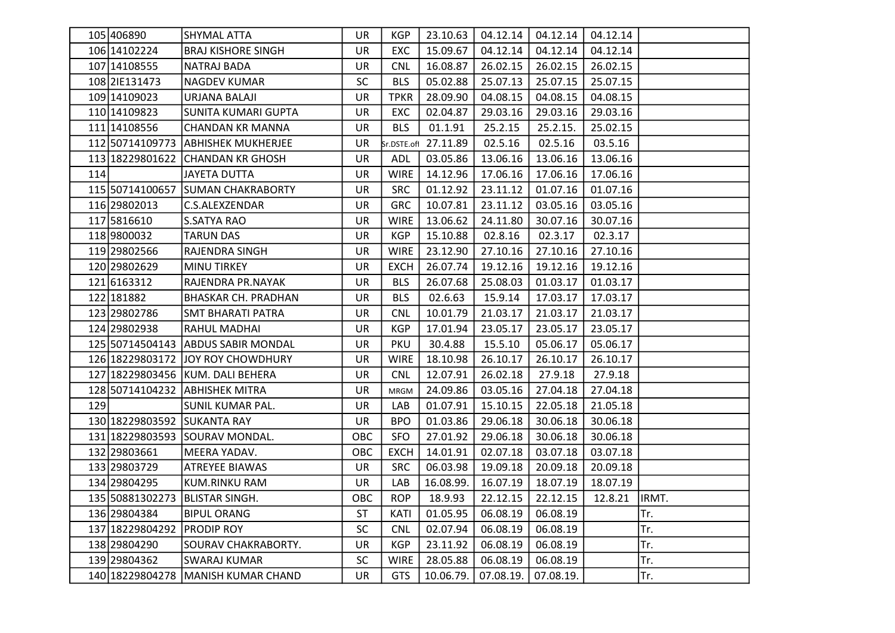|     | 105 406890                  | <b>SHYMAL ATTA</b>                   | UR        | KGP         |                      |           | 23.10.63   04.12.14   04.12.14 | 04.12.14 |       |
|-----|-----------------------------|--------------------------------------|-----------|-------------|----------------------|-----------|--------------------------------|----------|-------|
|     | 106 14102224                | <b>BRAJ KISHORE SINGH</b>            | UR        | EXC         | 15.09.67             | 04.12.14  | 04.12.14                       | 04.12.14 |       |
|     | 107 14108555                | NATRAJ BADA                          | <b>UR</b> | <b>CNL</b>  | 16.08.87             | 26.02.15  | 26.02.15                       | 26.02.15 |       |
|     | 108 2IE131473               | <b>NAGDEV KUMAR</b>                  | <b>SC</b> | <b>BLS</b>  | 05.02.88             | 25.07.13  | 25.07.15                       | 25.07.15 |       |
|     | 109 14109023                | URJANA BALAJI                        | <b>UR</b> | <b>TPKR</b> | 28.09.90             | 04.08.15  | 04.08.15                       | 04.08.15 |       |
|     | 110 1410 9823               | <b>SUNITA KUMARI GUPTA</b>           | <b>UR</b> | EXC         | 02.04.87             | 29.03.16  | 29.03.16                       | 29.03.16 |       |
|     | 111 14108556                | <b>CHANDAN KR MANNA</b>              | <b>UR</b> | <b>BLS</b>  | 01.1.91              | 25.2.15   | 25.2.15.                       | 25.02.15 |       |
|     |                             | 112 50714109773 ABHISHEK MUKHERJEE   | UR        |             | Sr.DSTE.ofl 27.11.89 | 02.5.16   | 02.5.16                        | 03.5.16  |       |
|     |                             | 113 18229801622 CHANDAN KR GHOSH     | <b>UR</b> | ADL         | 03.05.86             | 13.06.16  | 13.06.16                       | 13.06.16 |       |
| 114 |                             | JAYETA DUTTA                         | UR        | <b>WIRE</b> | 14.12.96             | 17.06.16  | 17.06.16                       | 17.06.16 |       |
|     |                             | 115 50714100657 SUMAN CHAKRABORTY    | UR        | <b>SRC</b>  | 01.12.92             | 23.11.12  | 01.07.16                       | 01.07.16 |       |
|     | 116 29802013                | C.S.ALEXZENDAR                       | <b>UR</b> | <b>GRC</b>  | 10.07.81             | 23.11.12  | 03.05.16                       | 03.05.16 |       |
|     | 117 5816610                 | <b>S.SATYA RAO</b>                   | UR        | <b>WIRE</b> | 13.06.62             | 24.11.80  | 30.07.16                       | 30.07.16 |       |
|     | 118 9800032                 | <b>TARUN DAS</b>                     | UR        | <b>KGP</b>  | 15.10.88             | 02.8.16   | 02.3.17                        | 02.3.17  |       |
|     | 119 29802566                | RAJENDRA SINGH                       | UR        | <b>WIRE</b> | 23.12.90             | 27.10.16  | 27.10.16                       | 27.10.16 |       |
|     | 120 29802629                | <b>MINU TIRKEY</b>                   | UR        | <b>EXCH</b> | 26.07.74             | 19.12.16  | 19.12.16                       | 19.12.16 |       |
|     | 121 6163312                 | RAJENDRA PR.NAYAK                    | UR        | <b>BLS</b>  | 26.07.68             | 25.08.03  | 01.03.17                       | 01.03.17 |       |
|     | 122 181882                  | <b>BHASKAR CH. PRADHAN</b>           | <b>UR</b> | <b>BLS</b>  | 02.6.63              | 15.9.14   | 17.03.17                       | 17.03.17 |       |
|     | 123 29802786                | <b>SMT BHARATI PATRA</b>             | <b>UR</b> | <b>CNL</b>  | 10.01.79             | 21.03.17  | 21.03.17                       | 21.03.17 |       |
|     | 124 29802938                | RAHUL MADHAI                         | <b>UR</b> | <b>KGP</b>  | 17.01.94             | 23.05.17  | 23.05.17                       | 23.05.17 |       |
|     |                             | 125 50714504143 ABDUS SABIR MONDAL   | UR        | <b>PKU</b>  | 30.4.88              | 15.5.10   | 05.06.17                       | 05.06.17 |       |
|     |                             | 126 18229803172 JJOY ROY CHOWDHURY   | UR        | WIRE        | 18.10.98             | 26.10.17  | 26.10.17                       | 26.10.17 |       |
|     |                             | 127 18229803456 KUM. DALI BEHERA     | UR        | <b>CNL</b>  | 12.07.91             | 26.02.18  | 27.9.18                        | 27.9.18  |       |
|     |                             | 128 50714104232 ABHISHEK MITRA       | UR        | <b>MRGM</b> | 24.09.86             | 03.05.16  | 27.04.18                       | 27.04.18 |       |
| 129 |                             | SUNIL KUMAR PAL.                     | UR        | LAB         | 01.07.91             | 15.10.15  | 22.05.18                       | 21.05.18 |       |
|     | 130 18229803592 SUKANTA RAY |                                      | UR        | <b>BPO</b>  | 01.03.86             | 29.06.18  | 30.06.18                       | 30.06.18 |       |
|     |                             | 131 18229803593 SOURAV MONDAL.       | OBC       | SFO         | 27.01.92             | 29.06.18  | 30.06.18                       | 30.06.18 |       |
|     | 132 29803661                | MEERA YADAV.                         | OBC       | <b>EXCH</b> | 14.01.91             | 02.07.18  | 03.07.18                       | 03.07.18 |       |
|     | 133 29803729                | <b>ATREYEE BIAWAS</b>                | UR        | <b>SRC</b>  | 06.03.98             | 19.09.18  | 20.09.18                       | 20.09.18 |       |
|     | 134 29804295                | <b>KUM.RINKU RAM</b>                 | <b>UR</b> | LAB         | 16.08.99.            | 16.07.19  | 18.07.19                       | 18.07.19 |       |
|     |                             | 135 50881302273 BLISTAR SINGH.       | OBC       | <b>ROP</b>  | 18.9.93              | 22.12.15  | 22.12.15                       | 12.8.21  | IRMT. |
|     | 136 29804384                | <b>BIPUL ORANG</b>                   | ST        | KATI        | 01.05.95             | 06.08.19  | 06.08.19                       |          | Tr.   |
|     | 137 18229804292 PRODIP ROY  |                                      | <b>SC</b> | <b>CNL</b>  | 02.07.94             | 06.08.19  | 06.08.19                       |          | Tr.   |
|     | 138 29804290                | <b>SOURAV CHAKRABORTY.</b>           | UR        | <b>KGP</b>  | 23.11.92             | 06.08.19  | 06.08.19                       |          | Tr.   |
|     | 139 29804362                | <b>SWARAJ KUMAR</b>                  | SC        | <b>WIRE</b> | 28.05.88             | 06.08.19  | 06.08.19                       |          | Tr.   |
|     |                             | 140 18229804278   MANISH KUMAR CHAND | <b>UR</b> | <b>GTS</b>  | 10.06.79.            | 07.08.19. | 07.08.19.                      |          | Tr.   |